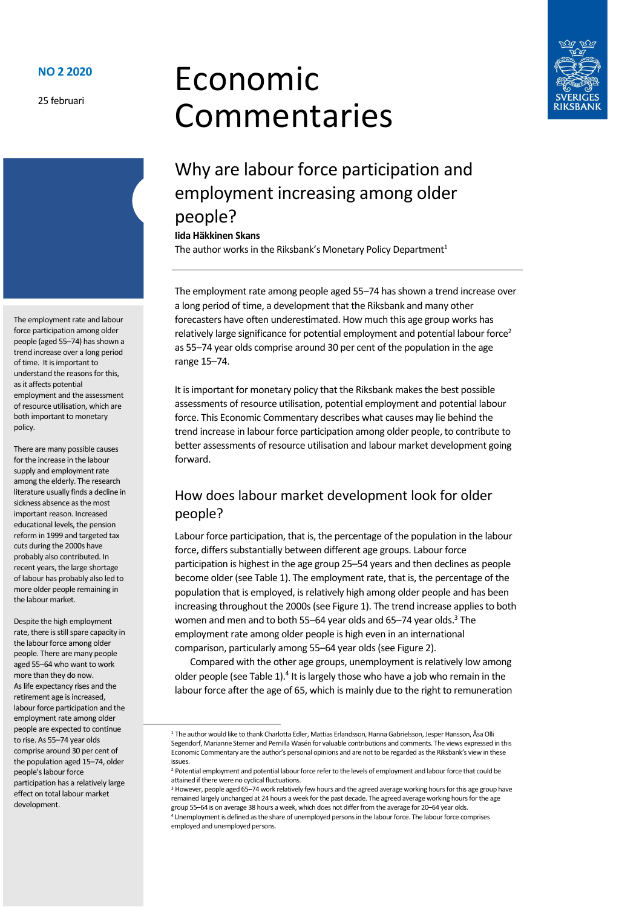25 februari





# Why are labour force participation and employment increasing among older people?

**Iida Häkkinen Skans**

The author works in the Riksbank's Monetary Policy Department<sup>1</sup>

The employment rate among people aged 55–74 has shown a trend increase over a long period of time, a development that the Riksbank and many other forecasters have often underestimated. How much this age group works has relatively large significance for potential employment and potential labour force<sup>2</sup> as 55–74 year olds comprise around 30 per cent of the population in the age range 15–74.

It is important for monetary policy that the Riksbank makes the best possible assessments of resource utilisation, potential employment and potential labour force. This Economic Commentary describes what causes may lie behind the trend increase in labour force participation among older people, to contribute to better assessments of resource utilisation and labour market development going forward.

### How does labour market development look for older people?

Labour force participation, that is, the percentage of the population in the labour force, differs substantially between different age groups. Labour force participation is highest in the age group 25–54 years and then declines as people become older (see Table 1). The employment rate, that is, the percentage of the population that is employed, is relatively high among older people and has been increasing throughout the 2000s(see Figure 1). The trend increase applies to both women and men and to both 55–64 year olds and 65–74 year olds.<sup>3</sup> The employment rate among older people is high even in an international comparison, particularly among 55–64 year olds (see Figure 2).

Compared with the other age groups, unemployment is relatively low among older people (see Table 1).<sup>4</sup> It is largely those who have a job who remain in the labour force after the age of 65, which is mainly due to the right to remuneration

<sup>3</sup> However, people aged 65–74 work relatively few hours and the agreed average working hours for this age group have remained largely unchanged at 24 hours a week for the past decade. The agreed average working hours for the age group 55–64 is on average 38 hours a week, which does not differ from the average for 20–64 year olds.

The employment rate and labour force participation among older people (aged 55–74) has shown a trend increase over a long period of time. It is important to understand the reasons for this, as it affects potential employment and the assessment of resource utilisation, which are both important to monetary policy.

There are many possible causes for the increase in the labour supply and employment rate among the elderly. The research literature usually finds a decline in sickness absence as the most important reason. Increased educational levels, the pension reform in 1999 and targeted tax cuts during the 2000s have probably also contributed. In recent years, the large shortage of labour has probably also led to more older people remaining in the labour market.

Despite the high employment rate, there is still spare capacity in the labour force among older people. There are many people aged 55–64 who want to work more than they do now. As life expectancy rises and the retirement age is increased, labour force participation and the employment rate among older people are expected to continue to rise. As 55–74 year olds comprise around 30 per cent of the population aged 15–74, older people's labour force participation has a relatively large effect on total labour market development.

<sup>1</sup> The author would like to thank Charlotta Edler, Mattias Erlandsson, Hanna Gabrielsson, Jesper Hansson, Åsa Olli Segendorf, Marianne Sterner and Pernilla Wasén for valuable contributions and comments. The views expressed in this Economic Commentary are the author's personal opinions and are not to be regarded as the Riksbank's view in these issues.

<sup>&</sup>lt;sup>2</sup> Potential employment and potential labour force refer to the levels of employment and labour force that could be attained if there were no cyclical fluctuations.

<sup>4</sup>Unemployment is defined as the share of unemployed persons in the labour force. The labour force comprises employed and unemployed persons.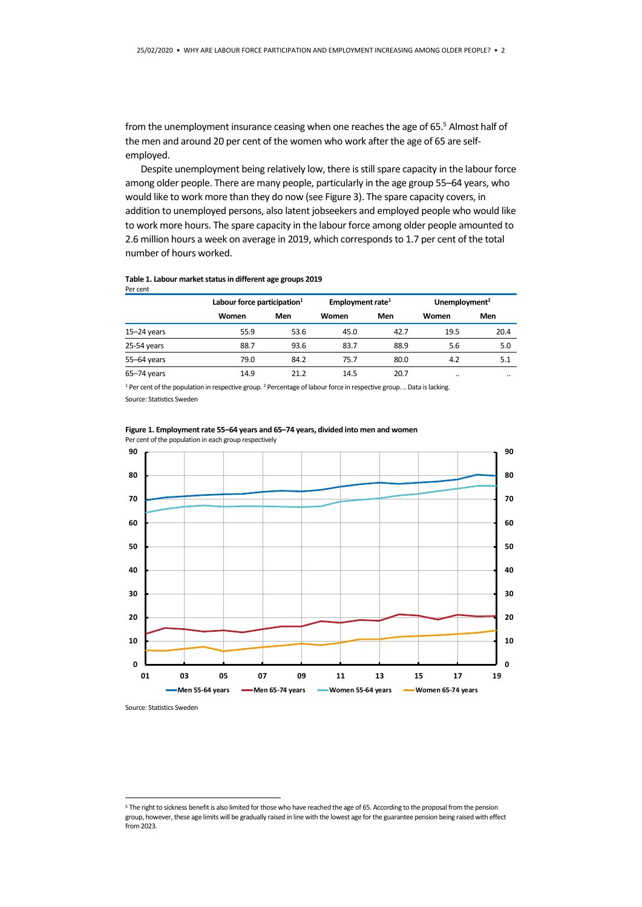from the unemployment insurance ceasing when one reaches the age of 65.<sup>5</sup> Almost half of the men and around 20 per cent of the women who work after the age of 65 are selfemployed.

Despite unemployment being relatively low, there is still spare capacity in the labour force among older people. There are many people, particularly in the age group 55–64 years, who would like to work more than they do now (see Figure 3). The spare capacity covers, in addition to unemployed persons, also latent jobseekers and employed people who would like to work more hours. The spare capacity in the labour force among older people amounted to 2.6 million hours a week on average in 2019, which corresponds to 1.7 per cent of the total number of hours worked.

#### **Table 1. Labour market status in different age groups 2019** Per cent

|                 | Labour force participation <sup>1</sup> |      | Employment rate <sup>1</sup> |      | Unemployment <sup>2</sup> |         |
|-----------------|-----------------------------------------|------|------------------------------|------|---------------------------|---------|
|                 | Women                                   | Men  | Women                        | Men  | Women                     | Men     |
| $15 - 24$ years | 55.9                                    | 53.6 | 45.0                         | 42.7 | 19.5                      | 20.4    |
| 25-54 years     | 88.7                                    | 93.6 | 83.7                         | 88.9 | 5.6                       | 5.0     |
| 55-64 years     | 79.0                                    | 84.2 | 75.7                         | 80.0 | 4.2                       | 5.1     |
| $65 - 74$ years | 14.9                                    | 21.2 | 14.5                         | 20.7 |                           | $\cdot$ |

<sup>1</sup> Per cent of the population in respective group. <sup>2</sup> Percentage of labour force in respective group. .. Data is lacking. Source: Statistics Sweden





Source: Statistics Sweden

**.** 

<sup>5</sup> The right to sickness benefit is also limited for those who have reached the age of 65. According to the proposal from the pension group, however, these age limits will be gradually raised in line with the lowest age for the guarantee pension being raised with effect from 2023.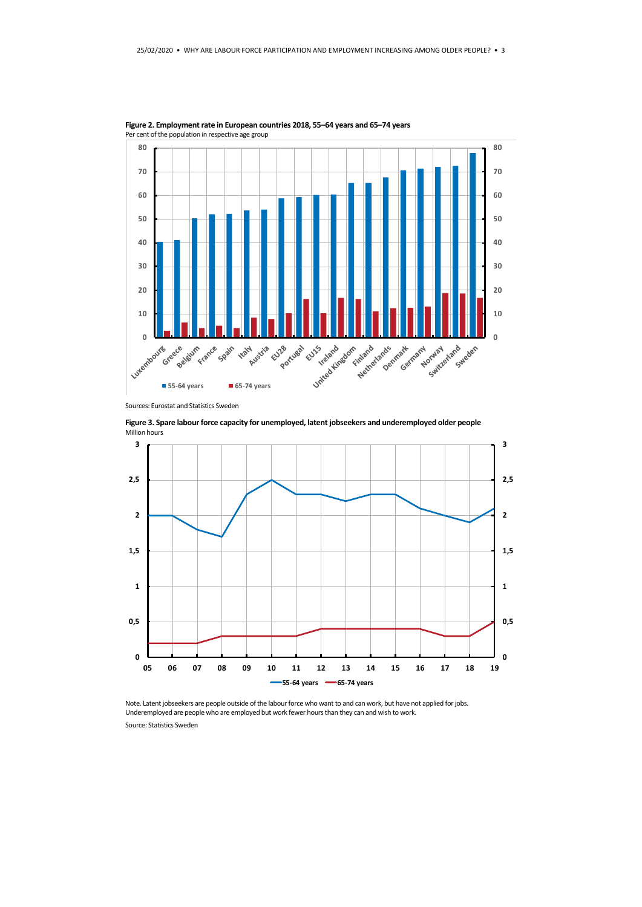

**Figure 2. Employment rate in European countries 2018, 55–64 years and 65–74 years**  Per cent of the population in respective age group

**Figure 3. Spare labour force capacity for unemployed, latent jobseekers and underemployed older people** Million hours



Note. Latent jobseekers are people outside of the labour force who want to and can work, but have not applied for jobs. Underemployed are people who are employed but work fewer hours than they can and wish to work.

Source: Statistics Sweden

Sources: Eurostat and Statistics Sweden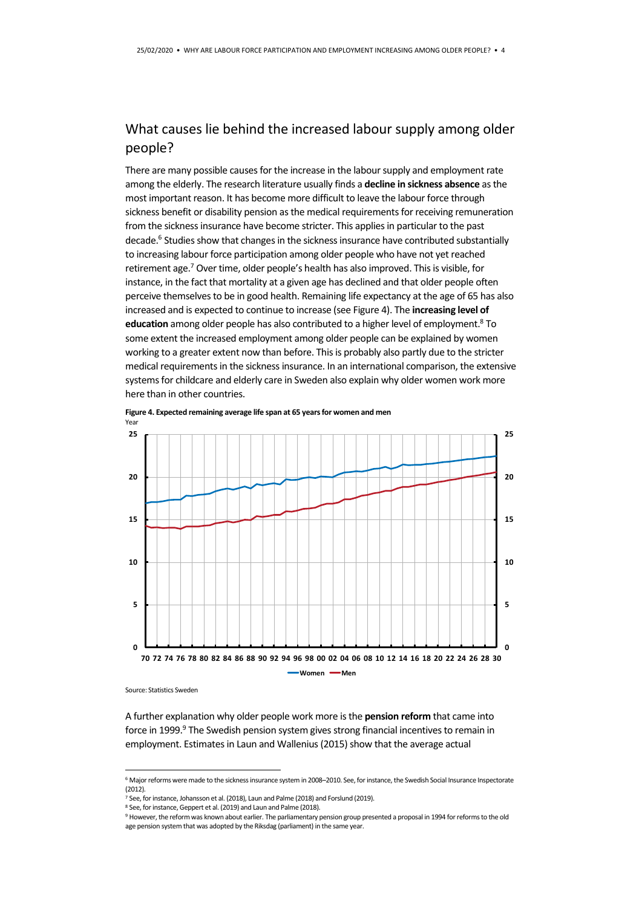#### What causes lie behind the increased labour supply among older people?

There are many possible causes for the increase in the labour supply and employment rate among the elderly. The research literature usually finds a **decline in sickness absence** as the most important reason. It has become more difficult to leave the labour force through sickness benefit or disability pension as the medical requirements for receiving remuneration from the sickness insurance have become stricter. This applies in particular to the past decade.<sup>6</sup> Studies show that changes in the sickness insurance have contributed substantially to increasing labour force participation among older people who have not yet reached retirement age.<sup>7</sup> Over time, older people's health has also improved. This is visible, for instance, in the fact that mortality at a given age has declined and that older people often perceive themselves to be in good health. Remaining life expectancy at the age of 65 has also increased and is expected to continue to increase (see Figure 4). The **increasing level of**  education among older people has also contributed to a higher level of employment.<sup>8</sup> To some extent the increased employment among older people can be explained by women working to a greater extent now than before. This is probably also partly due to the stricter medical requirements in the sickness insurance. In an international comparison, the extensive systems for childcare and elderly care in Sweden also explain why older women work more here than in other countries.



**Figure 4. Expected remaining average life span at 65 years for women and men**

Source: Statistics Sweden

1

A further explanation why older people work more is the **pension reform** that came into force in 1999.<sup>9</sup> The Swedish pension system gives strong financial incentives to remain in employment. Estimates in Laun and Wallenius (2015) show that the average actual

<sup>6</sup> Major reforms were made to the sickness insurance system in 2008–2010. See, for instance, the Swedish Social Insurance Inspectorate  $(2012)$ 

<sup>.&</sup>lt;br><sup>7</sup> See, for instance, Johansson et al. (2018), Laun and Palme (2018) and Forslund (2019).

<sup>8</sup> See, for instance, Geppert et al. (2019) and Laun and Palme (2018).

<sup>9</sup> However, the reform was known about earlier. The parliamentary pension group presented a proposal in 1994 for reforms to the old age pension system that was adopted by the Riksdag (parliament) in the same year.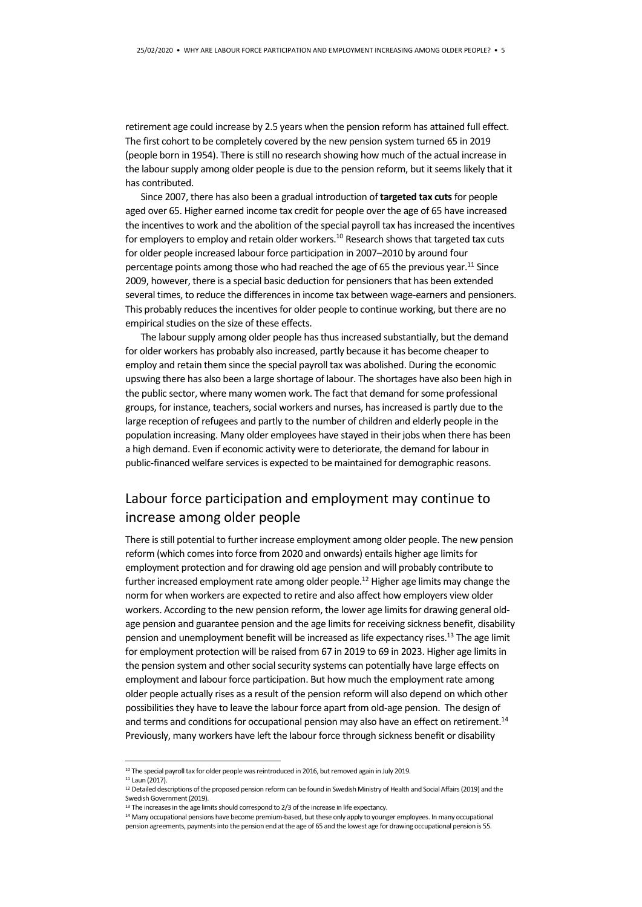retirement age could increase by 2.5 years when the pension reform has attained full effect. The first cohort to be completely covered by the new pension system turned 65 in 2019 (people born in 1954). There is still no research showing how much of the actual increase in the labour supply among older people is due to the pension reform, but it seems likely that it has contributed.

Since 2007, there has also been a gradual introduction of **targeted tax cuts**for people aged over 65. Higher earned income tax credit for people over the age of 65 have increased the incentives to work and the abolition of the special payroll tax has increased the incentives for employers to employ and retain older workers.<sup>10</sup> Research shows that targeted tax cuts for older people increased labour force participation in 2007–2010 by around four percentage points among those who had reached the age of 65 the previous year.<sup>11</sup> Since 2009, however, there is a special basic deduction for pensioners that has been extended several times, to reduce the differences in income tax between wage-earners and pensioners. This probably reduces the incentives for older people to continue working, but there are no empirical studies on the size of these effects.

The labour supply among older people has thus increased substantially, but the demand for older workers has probably also increased, partly because it has become cheaper to employ and retain them since the special payroll tax was abolished. During the economic upswing there has also been a large shortage of labour. The shortages have also been high in the public sector, where many women work. The fact that demand for some professional groups, for instance, teachers, social workers and nurses, has increased is partly due to the large reception of refugees and partly to the number of children and elderly people in the population increasing. Many older employees have stayed in their jobs when there has been a high demand. Even if economic activity were to deteriorate, the demand for labour in public-financed welfare services is expected to be maintained for demographic reasons.

#### Labour force participation and employment may continue to increase among older people

There is still potential to further increase employment among older people. The new pension reform (which comes into force from 2020 and onwards) entails higher age limits for employment protection and for drawing old age pension and will probably contribute to further increased employment rate among older people.<sup>12</sup> Higher age limits may change the norm for when workers are expected to retire and also affect how employers view older workers. According to the new pension reform, the lower age limits for drawing general oldage pension and guarantee pension and the age limits for receiving sickness benefit, disability pension and unemployment benefit will be increased as life expectancy rises.<sup>13</sup> The age limit for employment protection will be raised from 67 in 2019 to 69 in 2023. Higher age limits in the pension system and other social security systems can potentially have large effects on employment and labour force participation. But how much the employment rate among older people actually rises as a result of the pension reform will also depend on which other possibilities they have to leave the labour force apart from old-age pension. The design of and terms and conditions for occupational pension may also have an effect on retirement.<sup>14</sup> Previously, many workers have left the labour force through sickness benefit or disability

**.** 

<sup>10</sup> The special payroll tax for older people was reintroduced in 2016, but removed again in July 2019. <sup>11</sup> Laun (2017).

<sup>&</sup>lt;sup>12</sup> Detailed descriptions of the proposed pension reform can be found in Swedish Ministry of Health and Social Affairs (2019) and the Swedish Government (2019).

<sup>&</sup>lt;sup>13</sup> The increases in the age limits should correspond to 2/3 of the increase in life expectancy.

<sup>14</sup> Many occupational pensions have become premium-based, but these only apply to younger employees. In many occupational pension agreements, payments into the pension end at the age of 65 and the lowest age for drawing occupational pension is 55.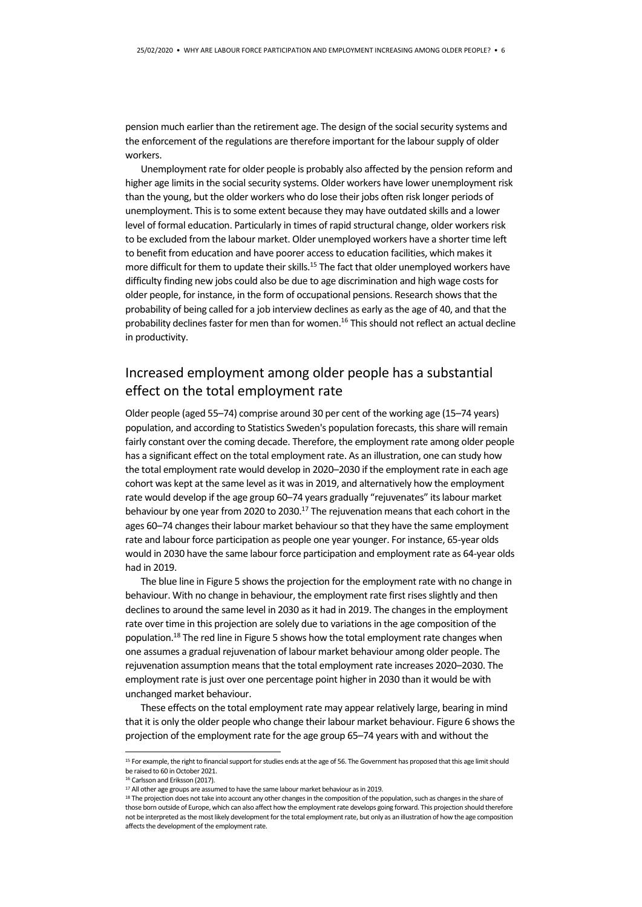pension much earlier than the retirement age. The design of the social security systems and the enforcement of the regulations are therefore important for the labour supply of older workers.

Unemployment rate for older people is probably also affected by the pension reform and higher age limits in the social security systems. Older workers have lower unemployment risk than the young, but the older workers who do lose their jobs often risk longer periods of unemployment. This is to some extent because they may have outdated skills and a lower level of formal education. Particularly in times of rapid structural change, older workers risk to be excluded from the labour market. Older unemployed workers have a shorter time left to benefit from education and have poorer access to education facilities, which makes it more difficult for them to update their skills.<sup>15</sup> The fact that older unemployed workers have difficulty finding new jobs could also be due to age discrimination and high wage costs for older people, for instance, in the form of occupational pensions. Research shows that the probability of being called for a job interview declines as early as the age of 40, and that the probability declines faster for men than for women.<sup>16</sup> This should not reflect an actual decline in productivity.

#### Increased employment among older people has a substantial effect on the total employment rate

Older people (aged 55–74) comprise around 30 per cent of the working age (15–74 years) population, and according to Statistics Sweden's population forecasts, this share will remain fairly constant over the coming decade. Therefore, the employment rate among older people has a significant effect on the total employment rate. As an illustration, one can study how the total employment rate would develop in 2020–2030 if the employment rate in each age cohort was kept at the same level as it was in 2019, and alternatively how the employment rate would develop if the age group 60–74 years gradually "rejuvenates" its labour market behaviour by one year from 2020 to 2030.<sup>17</sup> The rejuvenation means that each cohort in the ages 60–74 changes their labour market behaviour so that they have the same employment rate and labour force participation as people one year younger. For instance, 65-year olds would in 2030 have the same labour force participation and employment rate as 64-year olds had in 2019.

The blue line in Figure 5 shows the projection for the employment rate with no change in behaviour. With no change in behaviour, the employment rate first rises slightly and then declines to around the same level in 2030 as it had in 2019. The changes in the employment rate over time in this projection are solely due to variations in the age composition of the population.<sup>18</sup> The red line in Figure 5 shows how the total employment rate changes when one assumes a gradual rejuvenation of labour market behaviour among older people. The rejuvenation assumption means that the total employment rate increases 2020–2030. The employment rate is just over one percentage point higher in 2030 than it would be with unchanged market behaviour.

These effects on the total employment rate may appear relatively large, bearing in mind that it is only the older people who change their labour market behaviour. Figure 6 shows the projection of the employment rate for the age group 65–74 years with and without the

**.** 

<sup>15</sup> For example, the right to financial support for studies ends at the age of 56. The Government has proposed that this age limit should be raised to 60 in October 2021.

<sup>16</sup> Carlsson and Eriksson (2017).

<sup>&</sup>lt;sup>17</sup> All other age groups are assumed to have the same labour market behaviour as in 2019.

<sup>&</sup>lt;sup>18</sup> The projection does not take into account any other changes in the composition of the population, such as changes in the share of those born outside of Europe, which can also affect how the employment rate develops going forward. This projection should therefore not be interpreted as the most likely development for the total employment rate, but only as an illustration of how the age composition affects the development of the employment rate.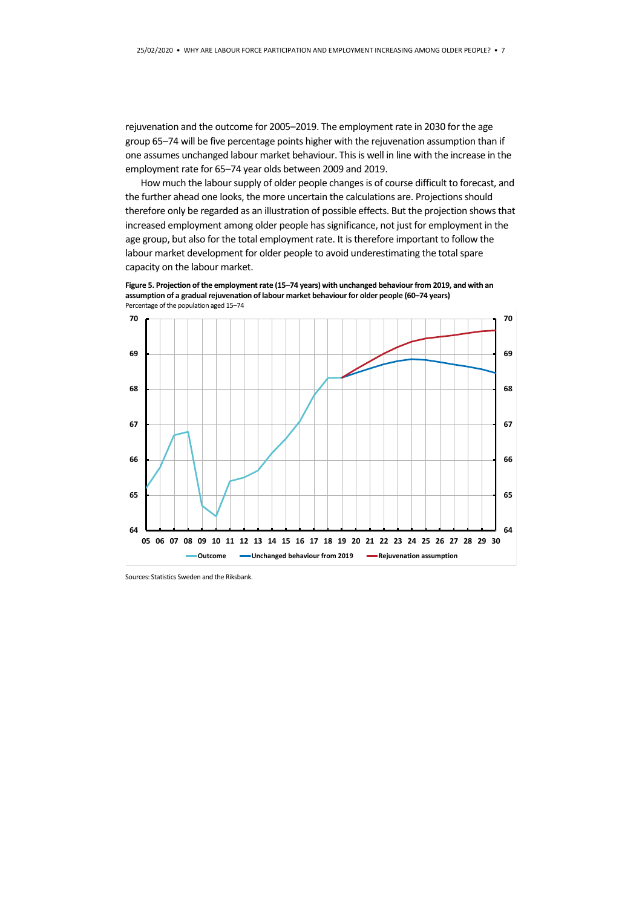rejuvenation and the outcome for 2005–2019. The employment rate in 2030 for the age group 65–74 will be five percentage points higher with the rejuvenation assumption than if one assumes unchanged labour market behaviour. This is well in line with the increase in the employment rate for 65–74 year olds between 2009 and 2019.

How much the labour supply of older people changes is of course difficult to forecast, and the further ahead one looks, the more uncertain the calculations are. Projections should therefore only be regarded as an illustration of possible effects. But the projection shows that increased employment among older people has significance, not just for employment in the age group, but also for the total employment rate. It is therefore important to follow the labour market development for older people to avoid underestimating the total spare capacity on the labour market.

**Figure 5. Projection of the employment rate (15–74 years) with unchanged behaviour from 2019, and with an assumption of a gradual rejuvenation of labour market behaviour for older people (60–74 years)**  Percentage of the population aged 15–74



Sources: Statistics Sweden and the Riksbank.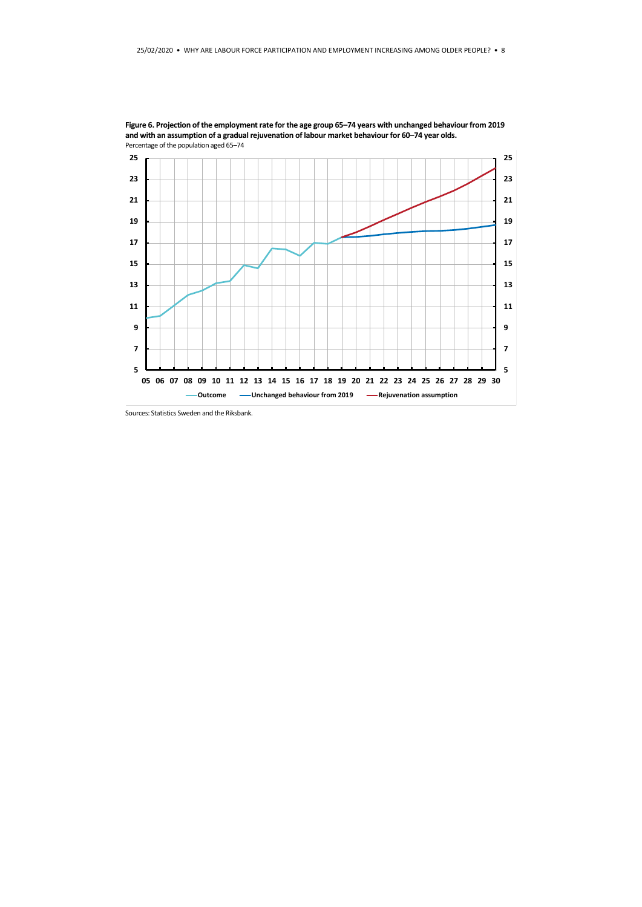

**Figure 6. Projection of the employment rate for the age group 65–74 years with unchanged behaviour from 2019 and with an assumption of a gradual rejuvenation of labour market behaviour for 60–74 year olds.**

Sources: Statistics Sweden and the Riksbank.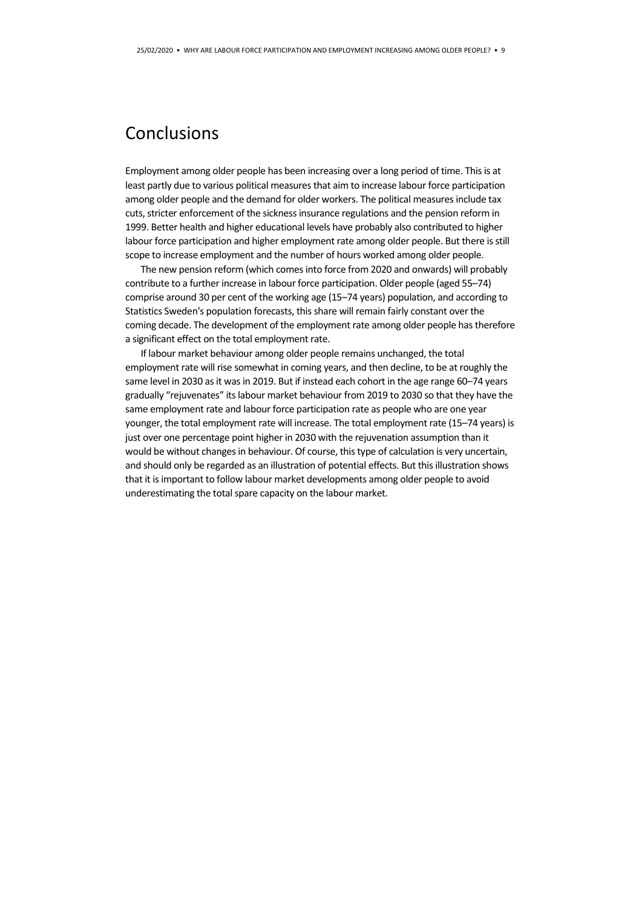## Conclusions

Employment among older people has been increasing over a long period of time. This is at least partly due to various political measures that aim to increase labour force participation among older people and the demand for older workers. The political measures include tax cuts, stricter enforcement of the sickness insurance regulations and the pension reform in 1999. Better health and higher educational levels have probably also contributed to higher labour force participation and higher employment rate among older people. But there is still scope to increase employment and the number of hours worked among older people.

The new pension reform (which comes into force from 2020 and onwards) will probably contribute to a further increase in labour force participation. Older people (aged 55–74) comprise around 30 per cent of the working age (15–74 years) population, and according to Statistics Sweden's population forecasts, this share will remain fairly constant over the coming decade. The development of the employment rate among older people has therefore a significant effect on the total employment rate.

If labour market behaviour among older people remains unchanged, the total employment rate will rise somewhat in coming years, and then decline, to be at roughly the same level in 2030 as it was in 2019. But if instead each cohort in the age range 60–74 years gradually "rejuvenates" its labour market behaviour from 2019 to 2030 so that they have the same employment rate and labour force participation rate as people who are one year younger, the total employment rate will increase. The total employment rate (15–74 years) is just over one percentage point higher in 2030 with the rejuvenation assumption than it would be without changes in behaviour. Of course, this type of calculation is very uncertain, and should only be regarded as an illustration of potential effects. But this illustration shows that it is important to follow labour market developments among older people to avoid underestimating the total spare capacity on the labour market.